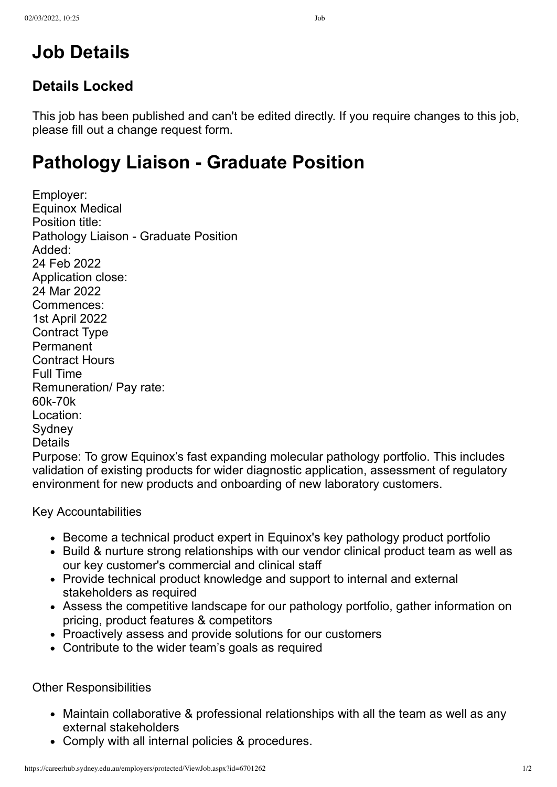## **Details Locked**

This job has been published and can't be edited directly. If you require changes to this job, please fill out a [change request form](https://careerhub.sydney.edu.au/employers/protected/RequestChange.aspx?id=6701262).

## **Pathology Liaison - Graduate Position**

Employer: [Equinox Medical](https://careerhub.sydney.edu.au/ViewOrganisation.chpx?id=4218257) Position title: Pathology Liaison - Graduate Position Added: 24 Feb 2022 Application close: 24 Mar 2022 Commences: 1st April 2022 Contract Type Permanent Contract Hours Full Time Remuneration/ Pay rate: 60k-70k Location: **Sydney** Details

Purpose: To grow Equinox's fast expanding molecular pathology portfolio. This includes validation of existing products for wider diagnostic application, assessment of regulatory environment for new products and onboarding of new laboratory customers.

Key Accountabilities

- Become a technical product expert in Equinox's key pathology product portfolio
- Build & nurture strong relationships with our vendor clinical product team as well as our key customer's commercial and clinical staff
- Provide technical product knowledge and support to internal and external stakeholders as required
- Assess the competitive landscape for our pathology portfolio, gather information on pricing, product features & competitors
- Proactively assess and provide solutions for our customers
- Contribute to the wider team's goals as required

Other Responsibilities

- Maintain collaborative & professional relationships with all the team as well as any external stakeholders
- Comply with all internal policies & procedures.